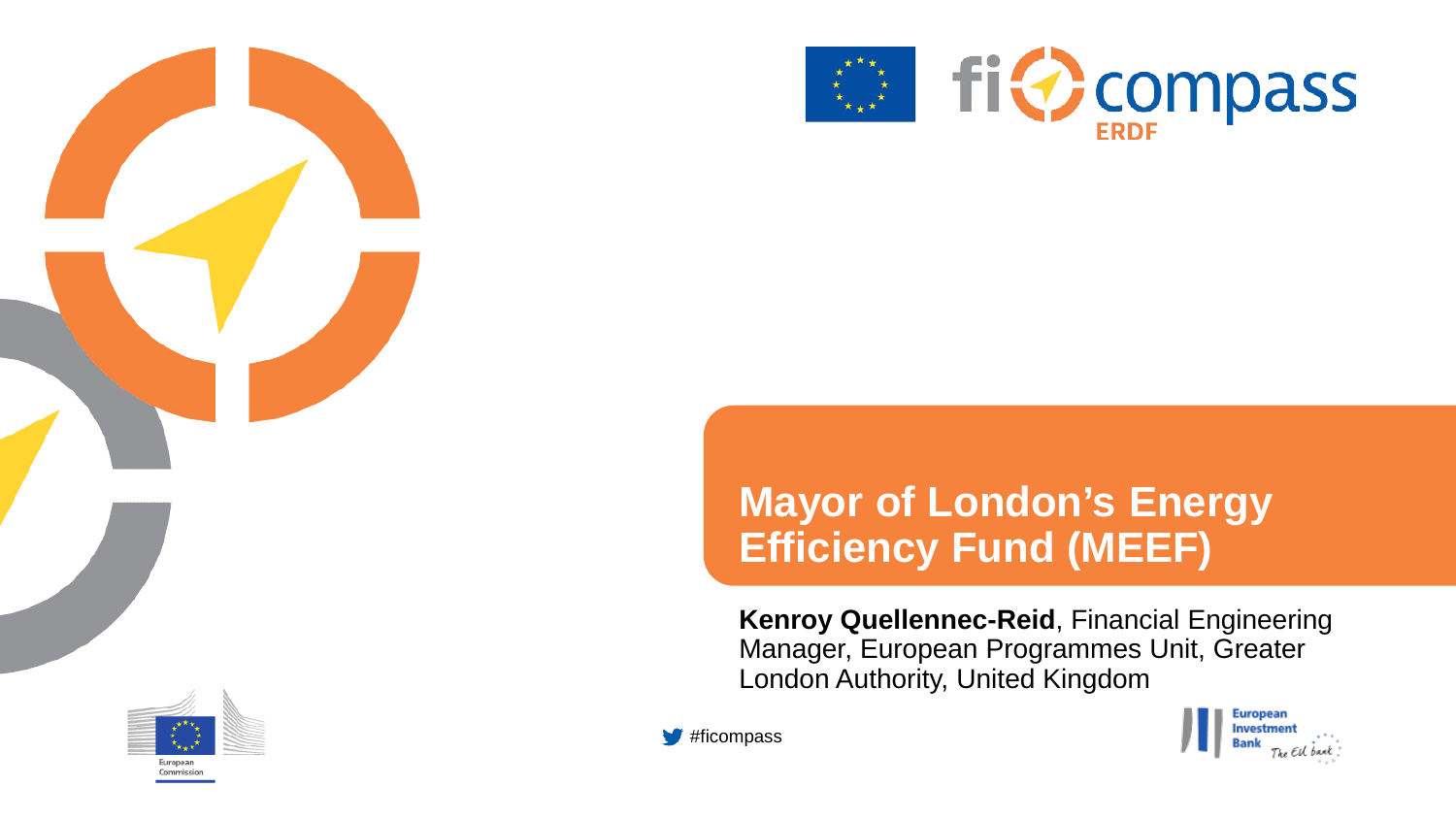

European Commission



### **Mayor of London's Energy Efficiency Fund (MEEF)**

**Kenroy Quellennec-Reid**, Financial Engineering Manager, European Programmes Unit, Greater London Authority, United Kingdom



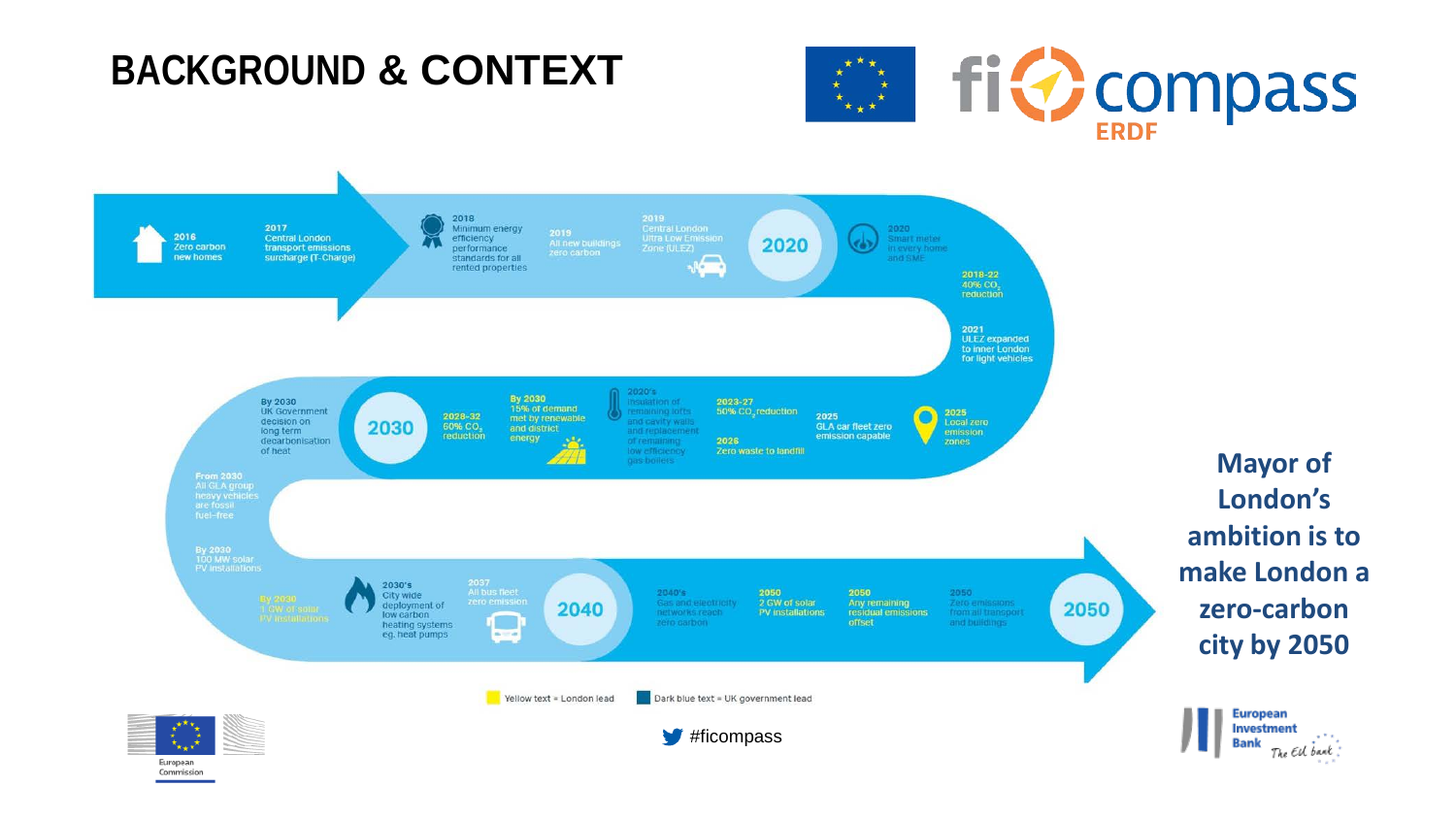### **BACKGROUND & CONTEXT**

Commission





**Mayor of London's ambition is to make London a zero-carbon city by 2050**

> **European Investment Bank**

The EU bank.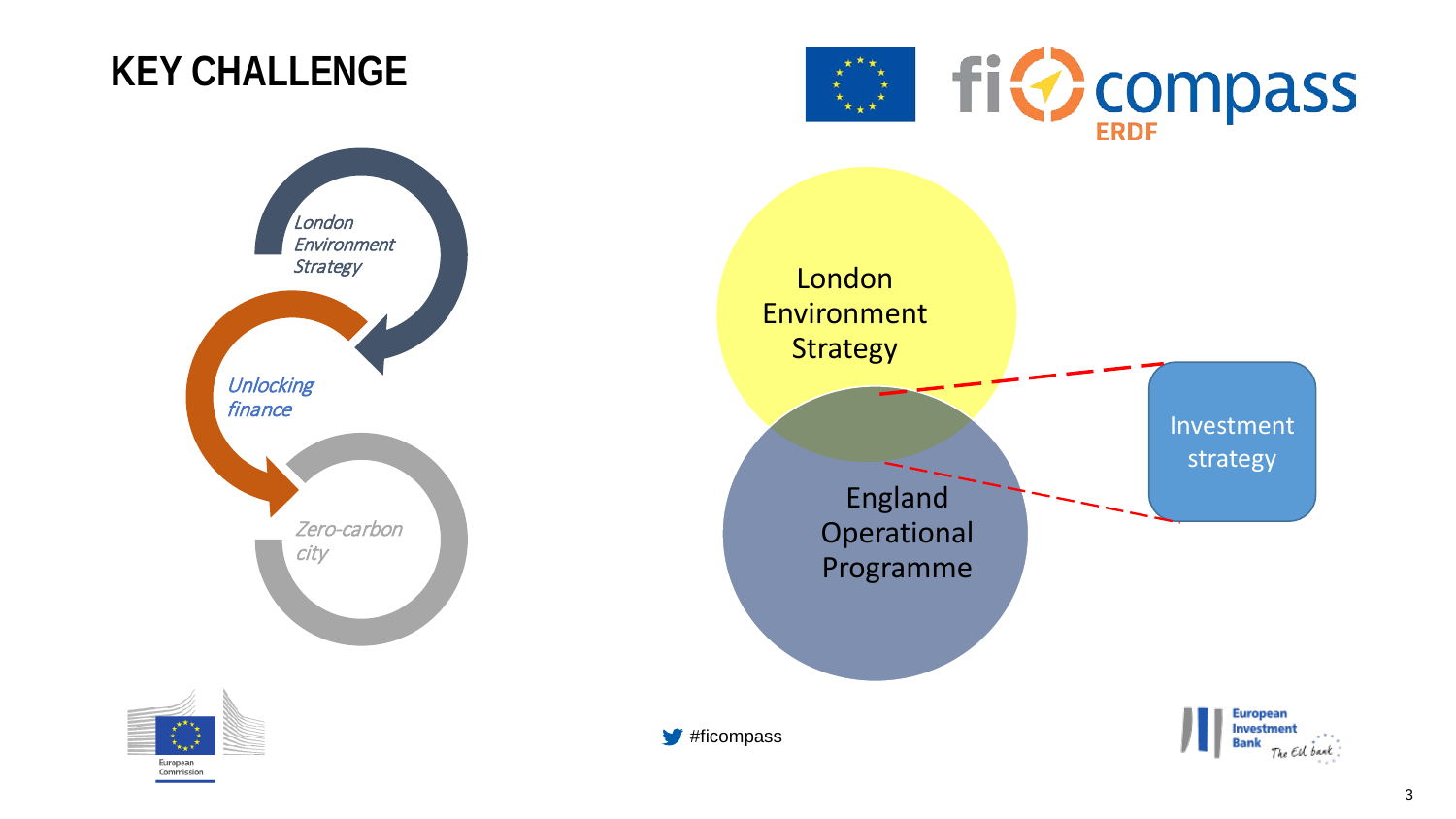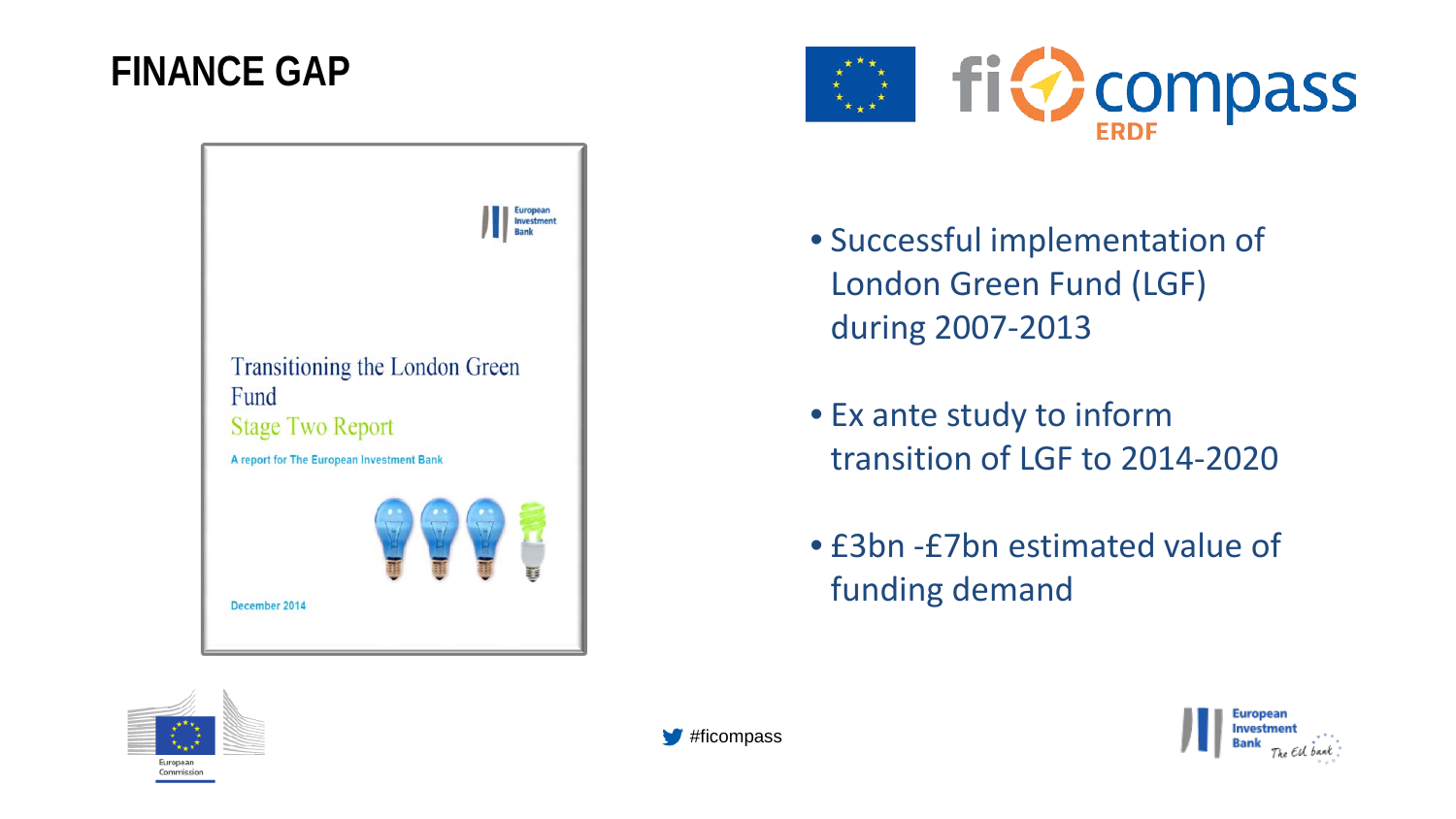### **FINANCE GAP**





- Successful implementation of London Green Fund (LGF) during 2007-2013
- Ex ante study to inform transition of LGF to 2014-2020
- £3bn -£7bn estimated value of funding demand





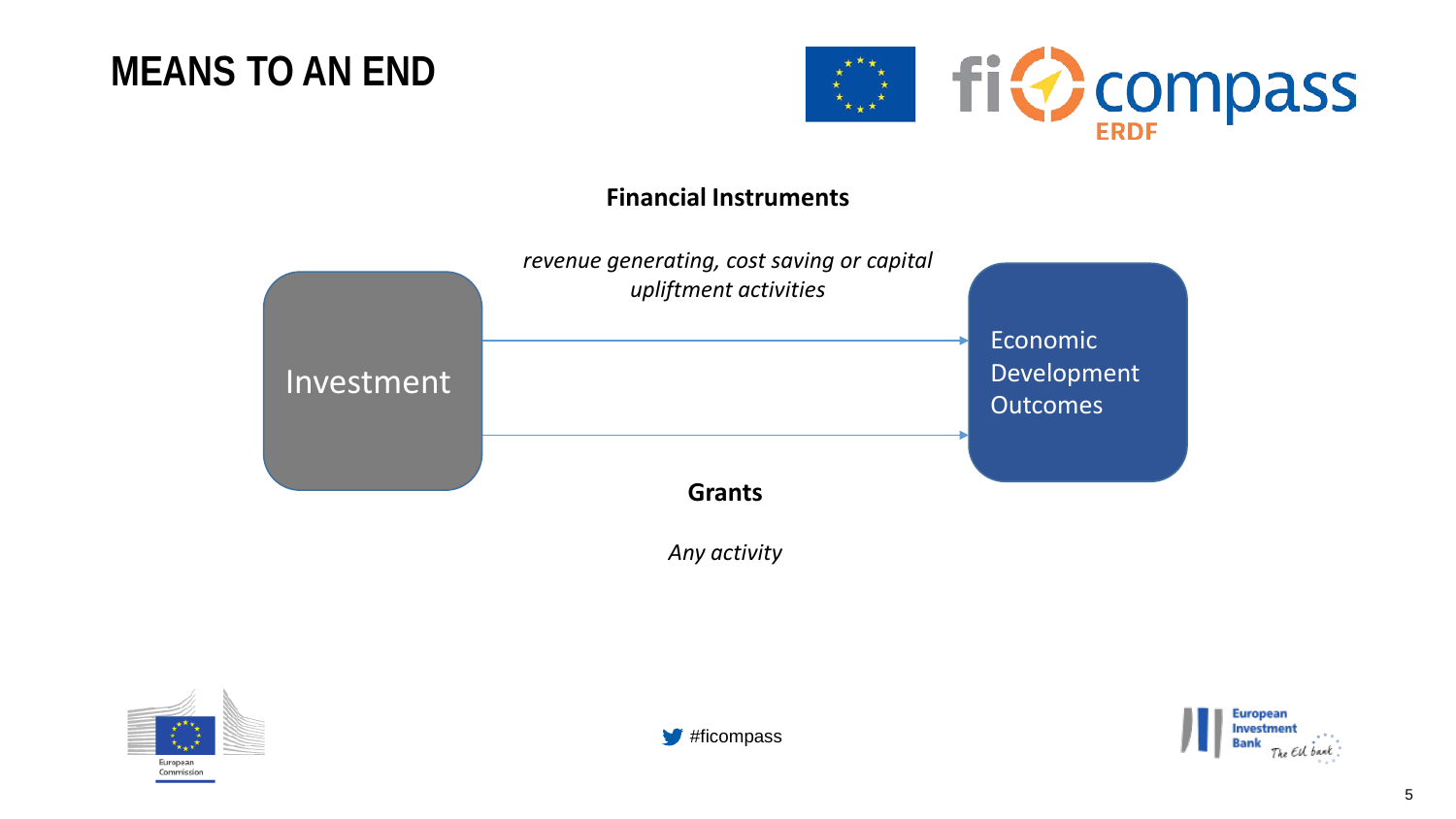



### **Financial Instruments**



*Any activity*





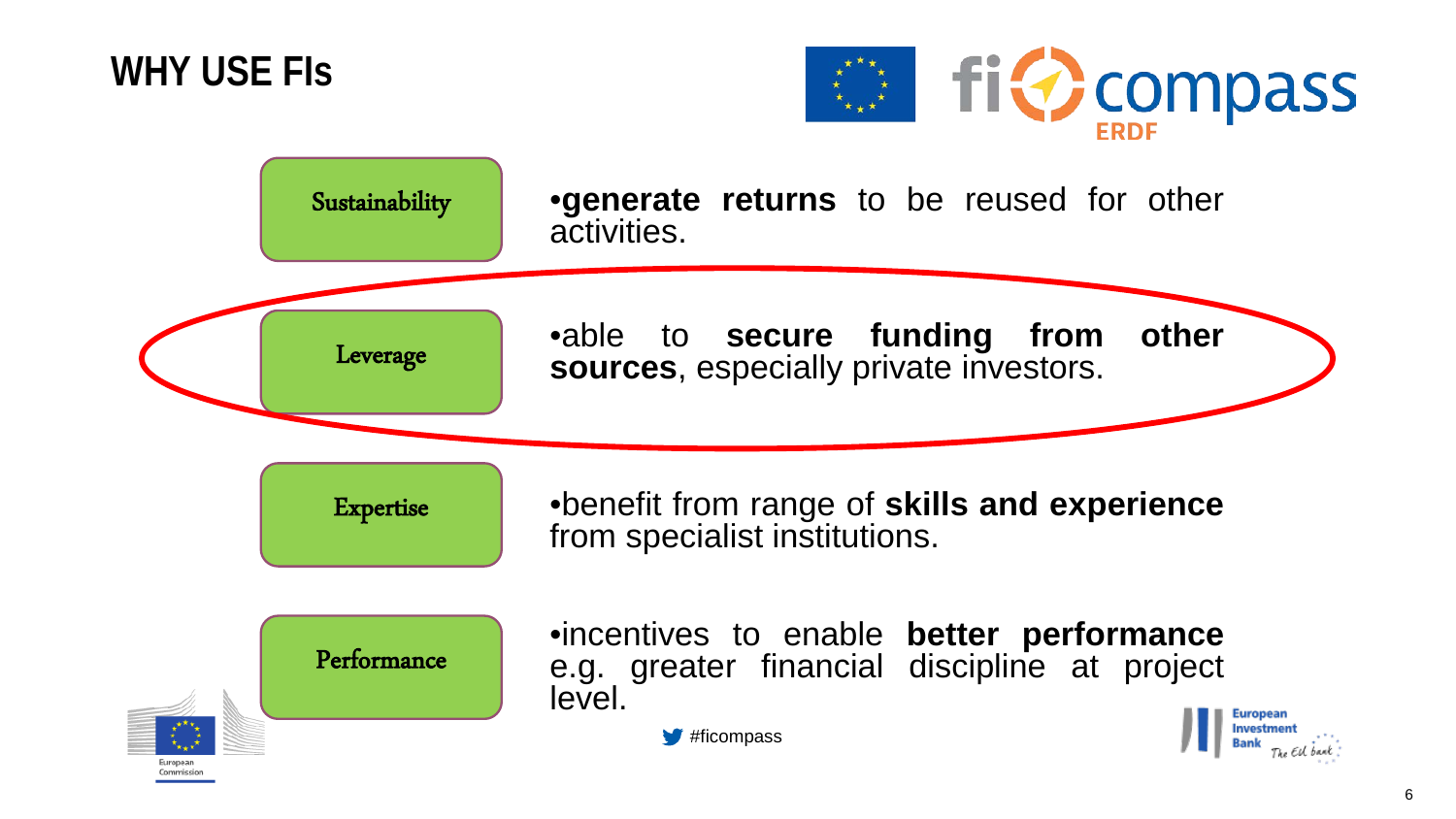**WHY USE FIs**



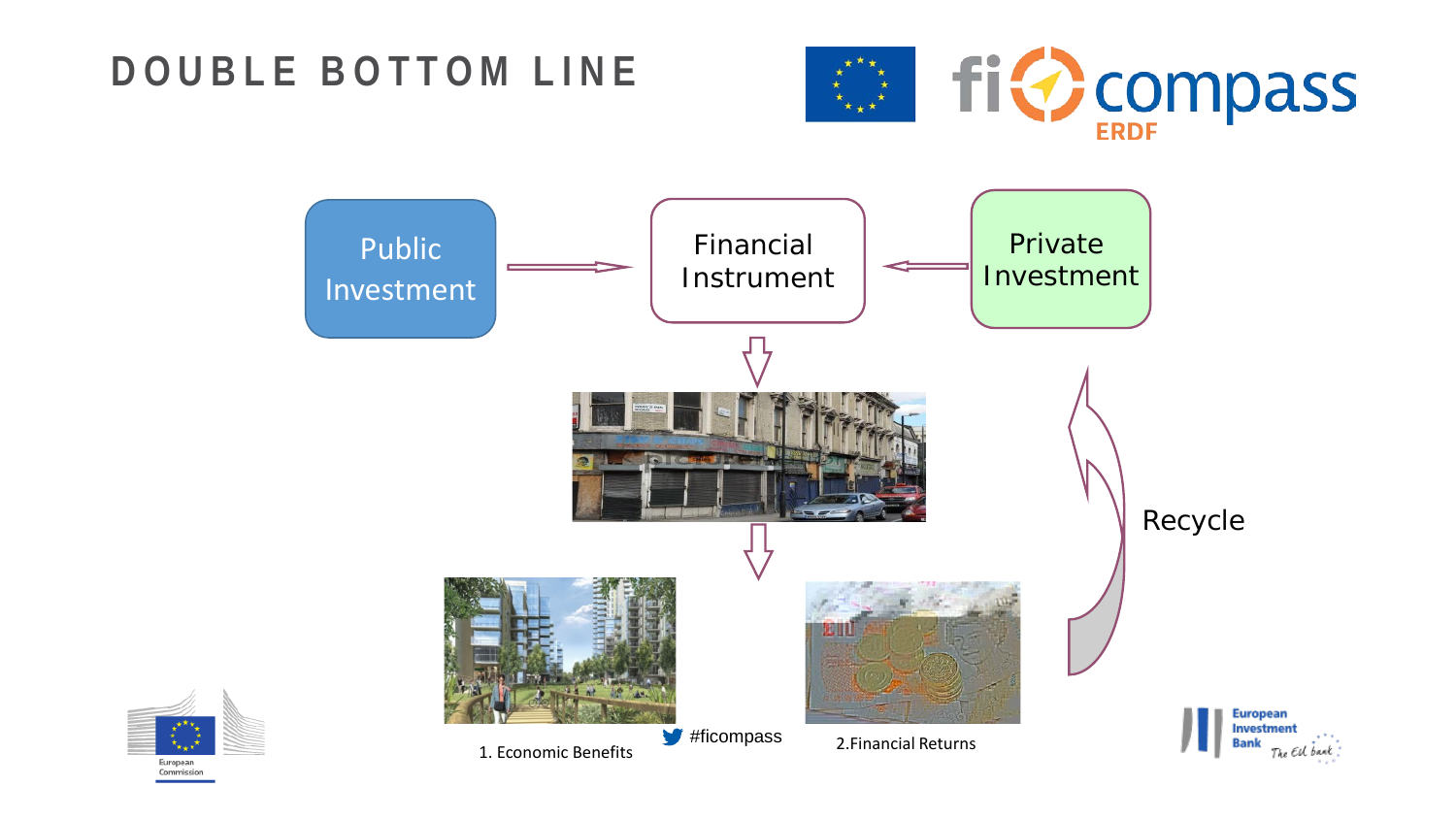### **DOUBLE BOTTOM LINE**





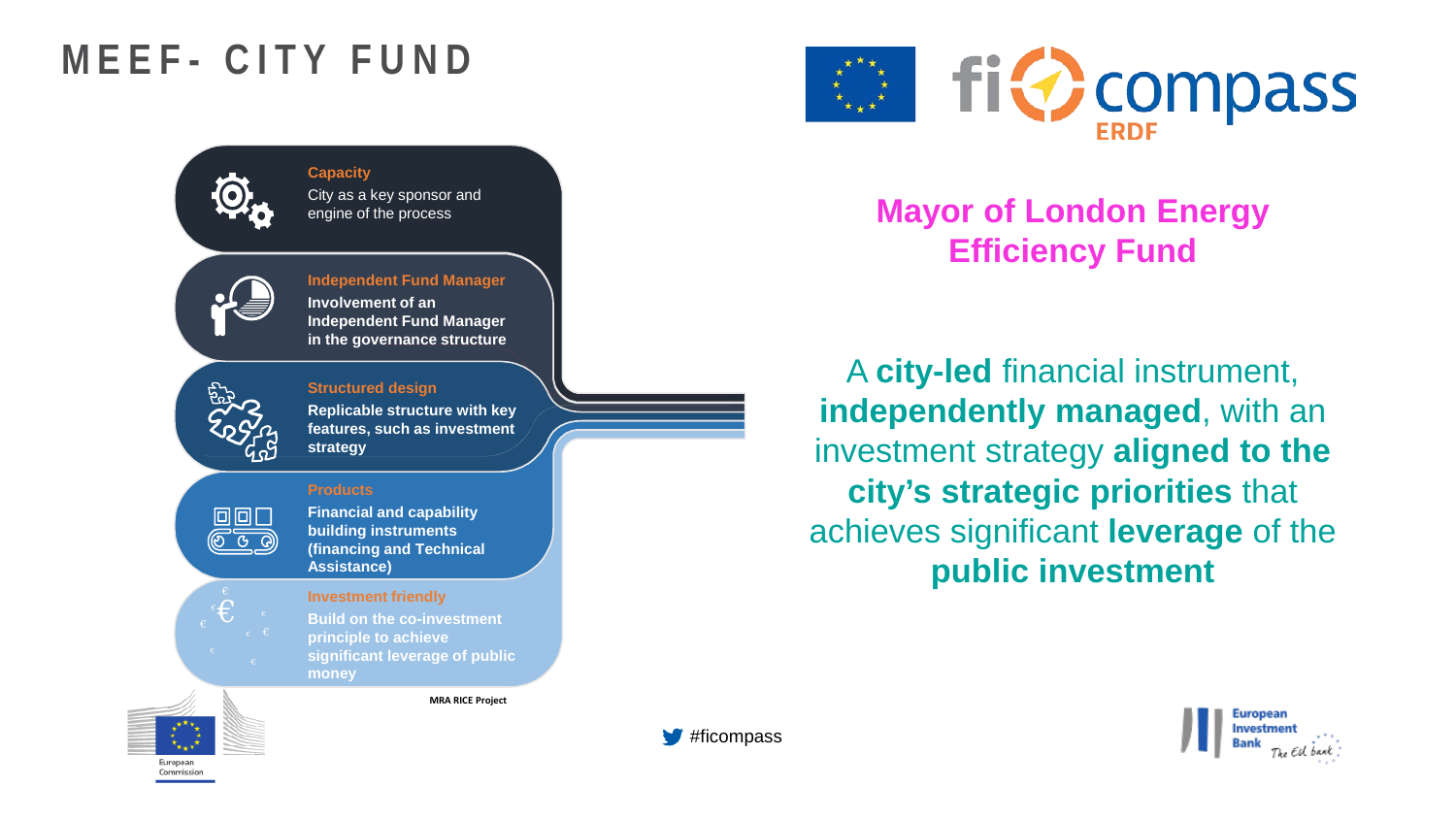## **MEEF - CITY FUND**



**Capacity** City as a key sponsor and engine of the process

#### **Independent Fund Manager Involvement of an Independent Fund Manager**

**in the governance structure**



 $\Box$ 

€

#### **Structured design**

**Replicable structure with key features, such as investment strategy**

#### **Products**

**Financial and capability building instruments (financing and Technical Assistance)**

#### **Investment friendly**

**Build on the co-investment principle to achieve significant leverage of public money**

**MRA RICE Project**



### **Mayor of London Energy Efficiency Fund**

A **city-led** financial instrument, **independently managed**, with an investment strategy **aligned to the city's strategic priorities** that achieves significant **leverage** of the **public investment**





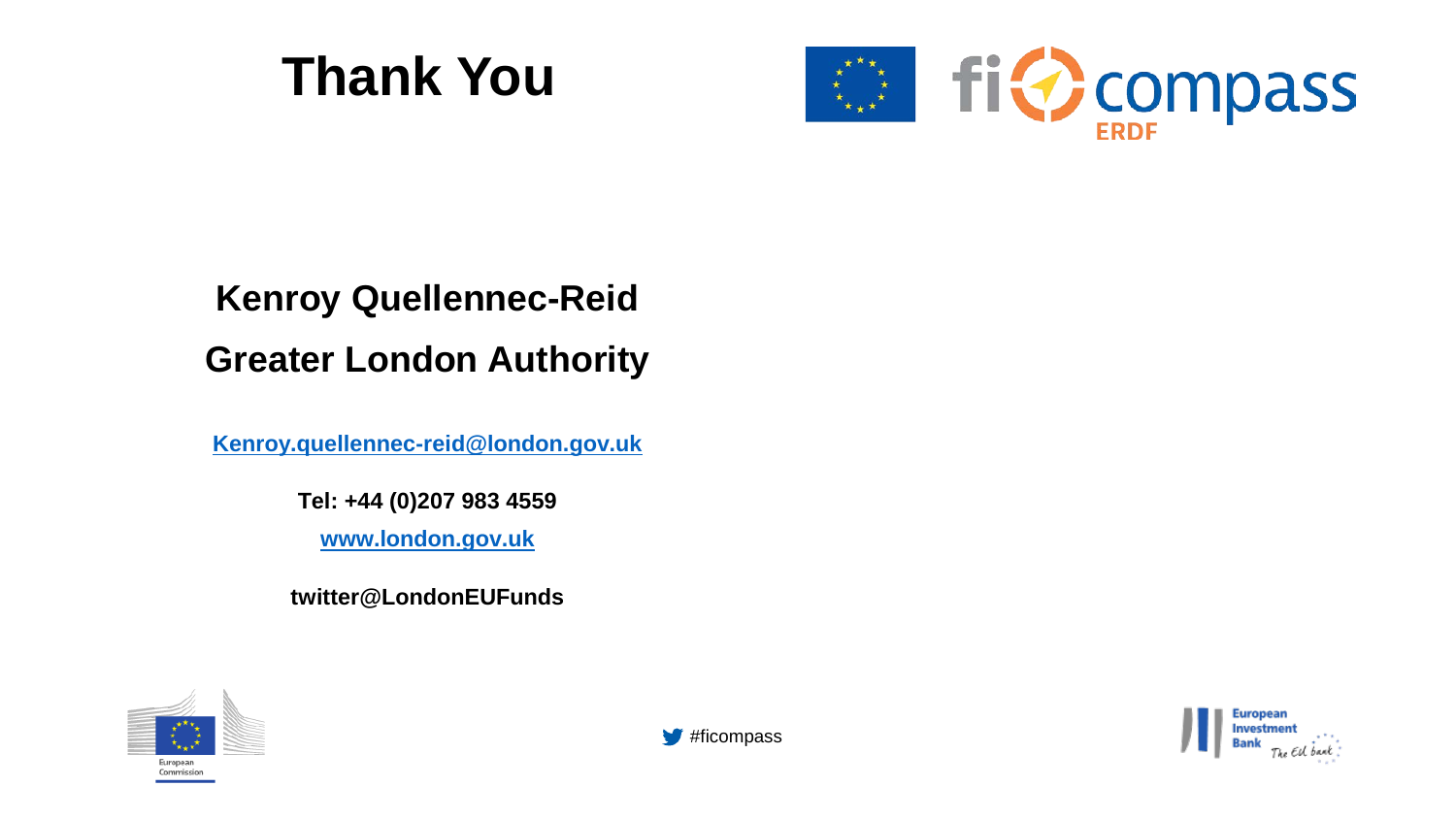# **Thank You**



### **Kenroy Quellennec-Reid Greater London Authority**

Kenroy.quellennec-reid@london.gov.uk

Tel: +44 (0)207 983 4559

www.london.gov.uk

twitter@LondonEUFunds